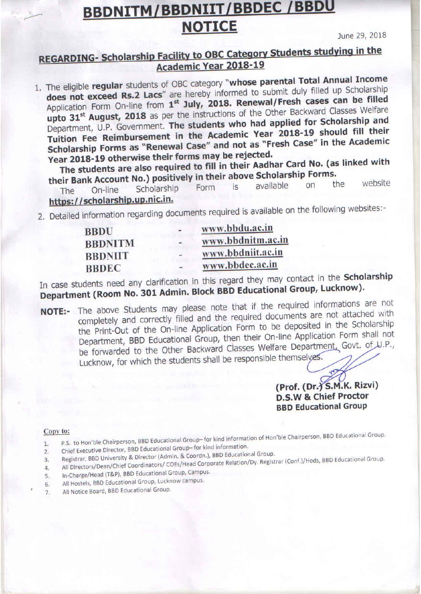# **BBDNITM/BBDNIIT/BBDEC/BBDU NOTICE**

June 29, 2018

### **REGARDING- Scholarship Facility to OBC Category Students studying in the** Academic Year 2018-19

1. The eligible regular students of OBC category "whose parental Total Annual Income does not exceed Rs.2 Lacs" are hereby informed to submit duly filled up Scholarship Application Form On-line from 1st July, 2018. Renewal/Fresh cases can be filled upto 31<sup>st</sup> August, 2018 as per the instructions of the Other Backward Classes Welfare Department, U.P. Government. The students who had applied for Scholarship and Tuition Fee Reimbursement in the Academic Year 2018-19 should fill their Scholarship Forms as "Renewal Case" and not as "Fresh Case" in the Academic Year 2018-19 otherwise their forms may be rejected.

The students are also required to fill in their Aadhar Card No. (as linked with their Bank Account No.) positively in their above Scholarship Forms.

website the available  $n<sub>n</sub>$  $|S|$ Form Scholarship On-line The https://scholarship.up.nic.in.

2. Detailed information regarding documents required is available on the following websites:-

| <b>BBDU</b>    |                          | www.bbdu.ac.in    |
|----------------|--------------------------|-------------------|
| <b>BBDNITM</b> | $\blacksquare$           | www.bbdnitm.ac.in |
| <b>BBDNIIT</b> | $\overline{\phantom{m}}$ | www.bbdniit.ac.in |
| <b>BBDEC</b>   |                          | www.bbdec.ac.in   |

In case students need any clarification in this regard they may contact in the Scholarship Department (Room No. 301 Admin. Block BBD Educational Group, Lucknow).

NOTE:- The above Students may please note that if the required informations are not completely and correctly filled and the required documents are not attached with the Print-Out of the On-line Application Form to be deposited in the Scholarship Department, BBD Educational Group, then their On-line Application Form shall not be forwarded to the Other Backward Classes Welfare Department, Govt. of U.P., Lucknow, for which the students shall be responsible themselves.

> (Prof. (Dr.) S.M.K. Rizvi) **D.S.W & Chief Proctor BBD Educational Group**

#### Copy to:

- P.S. to Hon'ble Chairperson, BBD Educational Group-for kind information of Hon'ble Chairperson, BBD Educational Group.  $1.$ Chief Executive Director, BBD Educational Group-for kind information.
- $2.$ Registrar, BBD University & Director (Admin. & Coordn.), BBD Educational Group.
- All Directors/Dean/Chief Coordinators/ COEs/Head Corporate Relation/Dy. Registrar (Conf.)/Hods, BBD Educational Group.  $\overline{3}$
- $\overline{4}$ . In-Charge/Head (T&P), BBD Educational Group, Campus.
- 5. All Hostels, BBD Educational Group, Lucknow campus.
- 6. All Notice Board, BBD Educational Group.  $7.$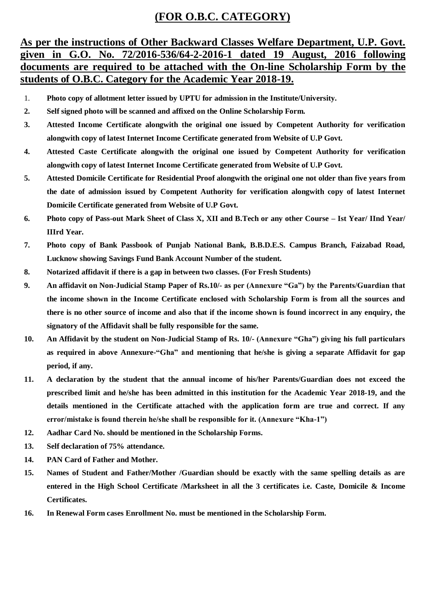### **(FOR O.B.C. CATEGORY)**

#### **As per the instructions of Other Backward Classes Welfare Department, U.P. Govt. given in G.O. No. 72/2016-536/64-2-2016-1 dated 19 August, 2016 following documents are required to be attached with the On-line Scholarship Form by the students of O.B.C. Category for the Academic Year 2018-19.**

- 1. **Photo copy of allotment letter issued by UPTU for admission in the Institute/University.**
- **2. Self signed photo will be scanned and affixed on the Online Scholarship Form.**
- **3. Attested Income Certificate alongwith the original one issued by Competent Authority for verification alongwith copy of latest Internet Income Certificate generated from Website of U.P Govt.**
- **4. Attested Caste Certificate alongwith the original one issued by Competent Authority for verification alongwith copy of latest Internet Income Certificate generated from Website of U.P Govt.**
- **5. Attested Domicile Certificate for Residential Proof alongwith the original one not older than five years from the date of admission issued by Competent Authority for verification alongwith copy of latest Internet Domicile Certificate generated from Website of U.P Govt.**
- **6. Photo copy of Pass-out Mark Sheet of Class X, XII and B.Tech or any other Course – Ist Year/ IInd Year/ IIIrd Year.**
- **7. Photo copy of Bank Passbook of Punjab National Bank, B.B.D.E.S. Campus Branch, Faizabad Road, Lucknow showing Savings Fund Bank Account Number of the student.**
- **8. Notarized affidavit if there is a gap in between two classes. (For Fresh Students)**
- **9. An affidavit on Non-Judicial Stamp Paper of Rs.10/- as per (Annexure "Ga") by the Parents/Guardian that the income shown in the Income Certificate enclosed with Scholarship Form is from all the sources and there is no other source of income and also that if the income shown is found incorrect in any enquiry, the signatory of the Affidavit shall be fully responsible for the same.**
- **10. An Affidavit by the student on Non-Judicial Stamp of Rs. 10/- (Annexure "Gha") giving his full particulars as required in above Annexure-"Gha" and mentioning that he/she is giving a separate Affidavit for gap period, if any.**
- **11. A declaration by the student that the annual income of his/her Parents/Guardian does not exceed the prescribed limit and he/she has been admitted in this institution for the Academic Year 2018-19, and the details mentioned in the Certificate attached with the application form are true and correct. If any error/mistake is found therein he/she shall be responsible for it. (Annexure "Kha-1")**
- **12. Aadhar Card No. should be mentioned in the Scholarship Forms.**
- **13. Self declaration of 75% attendance.**
- **14. PAN Card of Father and Mother.**
- **15. Names of Student and Father/Mother /Guardian should be exactly with the same spelling details as are entered in the High School Certificate /Marksheet in all the 3 certificates i.e. Caste, Domicile & Income Certificates.**
- **16. In Renewal Form cases Enrollment No. must be mentioned in the Scholarship Form.**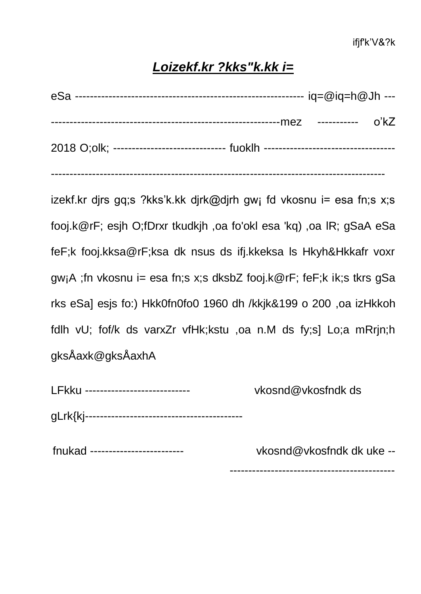## *Loizekf.kr ?kks"k.kk i=*

| 2018 O;olk; ----------------------------- fuoklh ------------------------------- |  |
|----------------------------------------------------------------------------------|--|

-----------------------------------------------------------------------------------------

izekf.kr djrs gq;s ?kks'k.kk djrk@djrh gw; fd vkosnu i= esa fn;s x;s fooj.k@rF; esjh O;fDrxr tkudkjh ,oa fo'okl esa 'kq) ,oa lR; gSaA eSa feF;k fooj.kksa@rF;ksa dk nsus ds ifj.kkeksa ls Hkyh&Hkkafr voxr gw¡A ;fn vkosnu i= esa fn;s x;s dksbZ fooj.k@rF; feF;k ik;s tkrs gSa rks eSa] esjs fo:) Hkk0fn0fo0 1960 dh /kkjk&199 o 200 ,oa izHkkoh fdlh vU; fof/k ds varxZr vfHk;kstu ,oa n.M ds fy;s] Lo;a mRrjn;h gksÅaxk@gksÅaxhA

| LFkku ---------------------------- | vkosnd@vkosfndk ds |
|------------------------------------|--------------------|
|                                    |                    |

fnukad ------------------------- vkosnd@vkosfndk dk uke --

--------------------------------------------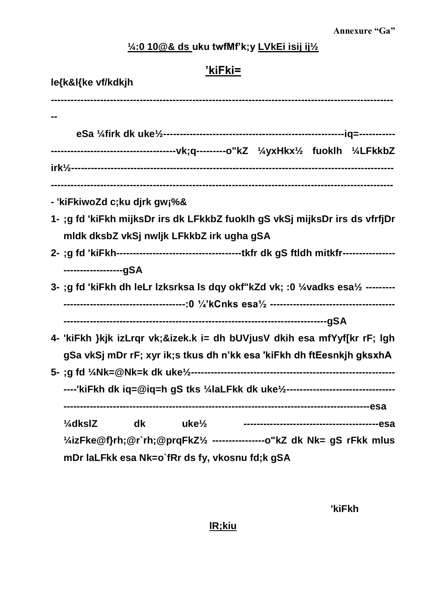## 1/4:0 10@& ds\_uku twfMf'k;y LVkEi isij ij1/2

| 'kiFki=            |                                                                                    |  |  |
|--------------------|------------------------------------------------------------------------------------|--|--|
| le{k&l{ke vf/kdkjh |                                                                                    |  |  |
|                    |                                                                                    |  |  |
|                    |                                                                                    |  |  |
|                    |                                                                                    |  |  |
|                    |                                                                                    |  |  |
|                    |                                                                                    |  |  |
|                    | - 'kiFkiwoZd c;ku djrk gw¡%&                                                       |  |  |
|                    | 1- ;g fd 'kiFkh mijksDr irs dk LFkkbZ fuoklh gS vkSj mijksDr irs ds vfrfjDr        |  |  |
|                    | mldk dksbZ vkSj nwljk LFkkbZ irk ugha gSA                                          |  |  |
|                    |                                                                                    |  |  |
|                    | ------------------gSA                                                              |  |  |
|                    | 3- ;g fd 'kiFkh dh leLr lzksrksa ls dqy okf"kZd vk; :0 1/4 vadks esa1/2 ---------  |  |  |
|                    |                                                                                    |  |  |
|                    |                                                                                    |  |  |
|                    | 4- 'kiFkh }kjk izLrqr vk;&izek.k i= dh bUVjusV dkih esa mfYyf[kr rF; lgh           |  |  |
|                    | gSa vkSj mDr rF; xyr ik;s tkus dh n'kk esa 'kiFkh dh ftEesnkjh gksxhA              |  |  |
|                    |                                                                                    |  |  |
|                    |                                                                                    |  |  |
|                    | ----'kiFkh dk iq=@iq=h gS tks 1/4laLFkk dk uke1/2--------------------------------  |  |  |
|                    |                                                                                    |  |  |
|                    | $\frac{1}{4}$ dkslZ<br>dk<br>$uk\mathbf{e}$ <sup><math>1/2</math></sup>            |  |  |
|                    | '⁄4izFke@f}rh;@r`rh;@prqFkZ'⁄2 ----------------o"kZ dk            Nk= gS rFkk mlus |  |  |
|                    | mDr laLFkk esa Nk=o`fRr ds fy, vkosnu fd;k gSA                                     |  |  |

'kiFkh

IR;kiu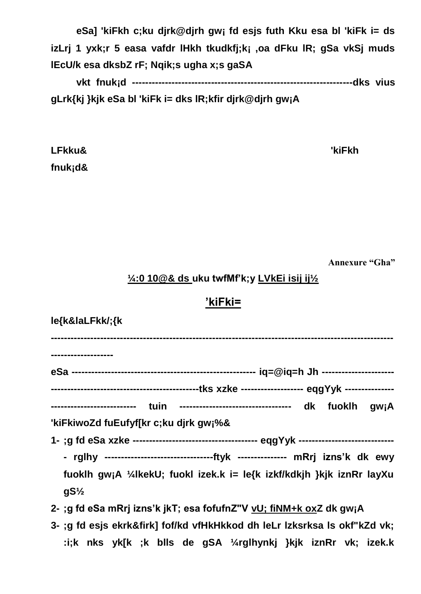**eSa] 'kiFkh c;ku djrk@djrh gw¡ fd esjs futh Kku esa bl 'kiFk i= ds izLrj 1 yxk;r 5 easa vafdr lHkh tkudkfj;k¡ ,oa dFku lR; gSa vkSj muds lEcU/k esa dksbZ rF; Nqik;s ugha x;s gaSA**

**vkt fnuk¡d -------------------------------------------------------------------dks vius gLrk{kj }kjk eSa bl 'kiFk i= dks lR;kfir djrk@djrh gw¡A**

**LFkku& 'kiFkh fnuk¡d&**

**Annexure "Gha"**

### **¼:0 10@& ds uku twfMf'k;y LVkEi isij ij½**

#### **'kiFki=**

| le{k&laLFkk/;{k                                                                    |
|------------------------------------------------------------------------------------|
| -----------------                                                                  |
|                                                                                    |
|                                                                                    |
| ------------------------- tuin --------------------------------- dk fuoklh gw;A    |
| 'kiFkiwoZd fuEufyf[kr c;ku djrk gw;%&                                              |
|                                                                                    |
| - rglhy -----------------------------------ftyk --------------- mRrj izns'k dk ewy |
| fuoklh gwjA ¼lkekU; fuokl izek.k i= le{k izkf/kdkjh }kjk iznRr layXu               |
| $gS\frac{1}{2}$                                                                    |
| 2-; g fd eSa mRrj izns'k jkT; esa fofufnZ"V vU; fiNM+k oxZ dk gw; A                |
| 3- ;g fd esjs ekrk&firk] fof/kd vfHkHkkod dh leLr Izksrksa Is okf"kZd vk;          |
| :i;k nks yk[k ;k blls de gSA ¼rglhynkj }kjk iznRr vk; izek.k                       |